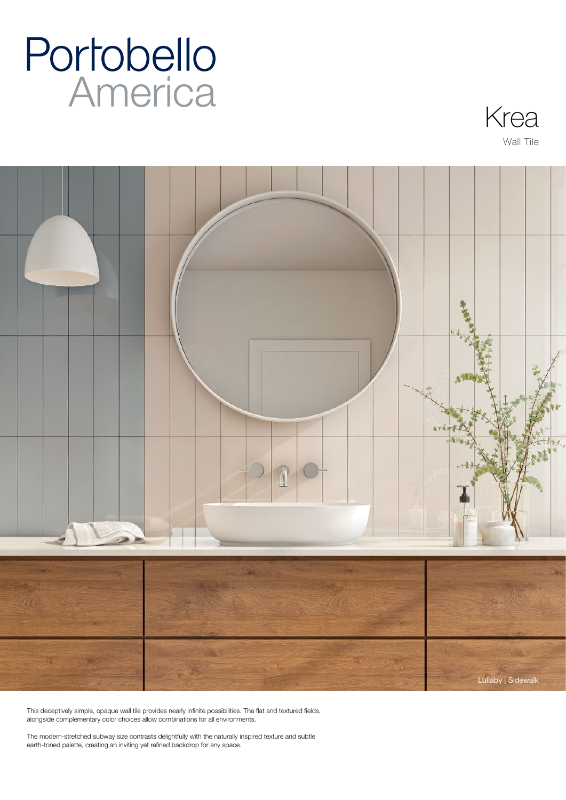# **Portobello**<br>America





This deceptively simple, opaque wall tile provides nearly infinite possibilities. The flat and textured fields, alongside complementary color choices allow combinations for all environments.

The modern-stretched subway size contrasts delightfully with the naturally inspired texture and subtle earth-toned palette, creating an inviting yet refined backdrop for any space.